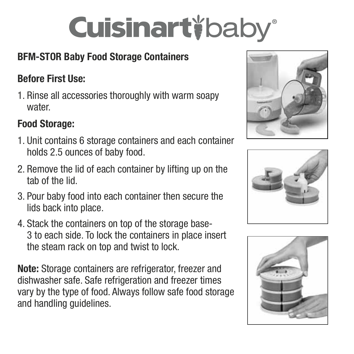# **Cuisinart** baby®

# BFM-STOR Baby Food Storage Containers

#### Before First Use:

1. Rinse all accessories thoroughly with warm soapy water.

### Food Storage:

- 1. Unit contains 6 storage containers and each container holds 2.5 ounces of baby food.
- 2. Remove the lid of each container by lifting up on the tab of the lid.
- 3. Pour baby food into each container then secure the lids back into place.
- 4. Stack the containers on top of the storage base-3 to each side. To lock the containers in place insert the steam rack on top and twist to lock.

Note: Storage containers are refrigerator, freezer and dishwasher safe. Safe refrigeration and freezer times vary by the type of food. Always follow safe food storage and handling quidelines.





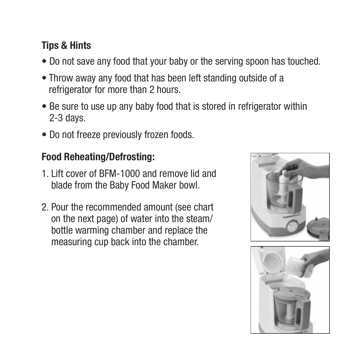#### Tips & Hints

- Do not save any food that your baby or the serving spoon has touched.
- Throw away any food that has been left standing outside of a refrigerator for more than 2 hours.
- Be sure to use up any baby food that is stored in refrigerator within 2-3 days.
- Do not freeze previously frozen foods.

#### Food Reheating/Defrosting:

- 1. Lift cover of BFM-1000 and remove lid and blade from the Baby Food Maker bowl.
- 2. Pour the recommended amount (see chart on the next page) of water into the steam/ bottle warming chamber and replace the measuring cup back into the chamber.

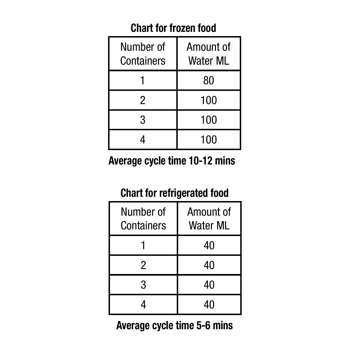#### Chart for frozen food

| Number of<br>Containers | Amount of<br>Water ML |
|-------------------------|-----------------------|
|                         | 80                    |
| 2                       | 100                   |
| 3                       | 100                   |
|                         | 100                   |

Average cycle time 10-12 mins

## Chart for refrigerated food

| Number of<br>Containers | Amount of<br><b>Water ML</b> |
|-------------------------|------------------------------|
|                         | 40                           |
| 2                       | 40                           |
| 3                       | 40                           |
|                         | 40                           |

Average cycle time 5-6 mins